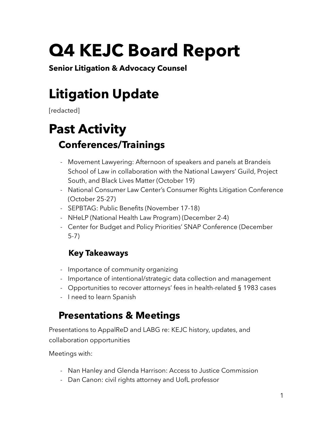# **Q4 KEJC Board Report**

**Senior Litigation & Advocacy Counsel** 

# **Litigation Update**

[redacted]

# **Past Activity Conferences/Trainings**

- Movement Lawyering: Afternoon of speakers and panels at Brandeis School of Law in collaboration with the National Lawyers' Guild, Project South, and Black Lives Matter (October 19)
- National Consumer Law Center's Consumer Rights Litigation Conference (October 25-27)
- SEPBTAG: Public Benefits (November 17-18)
- NHeLP (National Health Law Program) (December 2-4)
- Center for Budget and Policy Priorities' SNAP Conference (December 5-7)

### **Key Takeaways**

- Importance of community organizing
- Importance of intentional/strategic data collection and management
- Opportunities to recover attorneys' fees in health-related § 1983 cases
- I need to learn Spanish

## **Presentations & Meetings**

Presentations to AppalReD and LABG re: KEJC history, updates, and collaboration opportunities

Meetings with:

- Nan Hanley and Glenda Harrison: Access to Justice Commission
- Dan Canon: civil rights attorney and UofL professor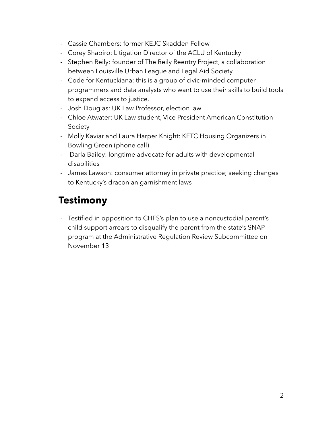- Cassie Chambers: former KEJC Skadden Fellow
- Corey Shapiro: Litigation Director of the ACLU of Kentucky
- Stephen Reily: founder of The Reily Reentry Project, a collaboration between Louisville Urban League and Legal Aid Society
- Code for Kentuckiana: this is a group of civic-minded computer programmers and data analysts who want to use their skills to build tools to expand access to justice.
- Josh Douglas: UK Law Professor, election law
- Chloe Atwater: UK Law student, Vice President American Constitution Society
- Molly Kaviar and Laura Harper Knight: KFTC Housing Organizers in Bowling Green (phone call)
- Darla Bailey: longtime advocate for adults with developmental disabilities
- James Lawson: consumer attorney in private practice; seeking changes to Kentucky's draconian garnishment laws

### **Testimony**

- Testified in opposition to CHFS's plan to use a noncustodial parent's child support arrears to disqualify the parent from the state's SNAP program at the Administrative Regulation Review Subcommittee on November 13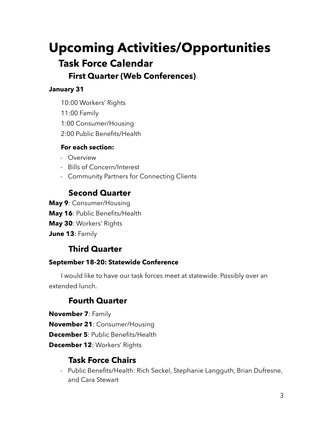# **Upcoming Activities/Opportunities Task Force Calendar First Quarter (Web Conferences)**

#### **January 31**

- 10:00 Workers' Rights
- 11:00 Family
- 1:00 Consumer/Housing
- 2:00 Public Benefits/Health

#### **For each section:**

- Overview
- Bills of Concern/Interest
- Community Partners for Connecting Clients

#### **Second Quarter**

- **May 9**: Consumer/Housing
- **May 16**: Public Benefits/Health
- **May 30**: Workers' Rights
- **June 13**: Family

#### **Third Quarter**

#### **September 18-20: Statewide Conference**

I would like to have our task forces meet at statewide. Possibly over an extended lunch.

#### **Fourth Quarter**

**November 7**: Family

**November 21**: Consumer/Housing

**December 5**: Public Benefits/Health

**December 12**: Workers' Rights

#### **Task Force Chairs**

- Public Benefits/Health: Rich Seckel, Stephanie Langguth, Brian Dufresne, and Cara Stewart